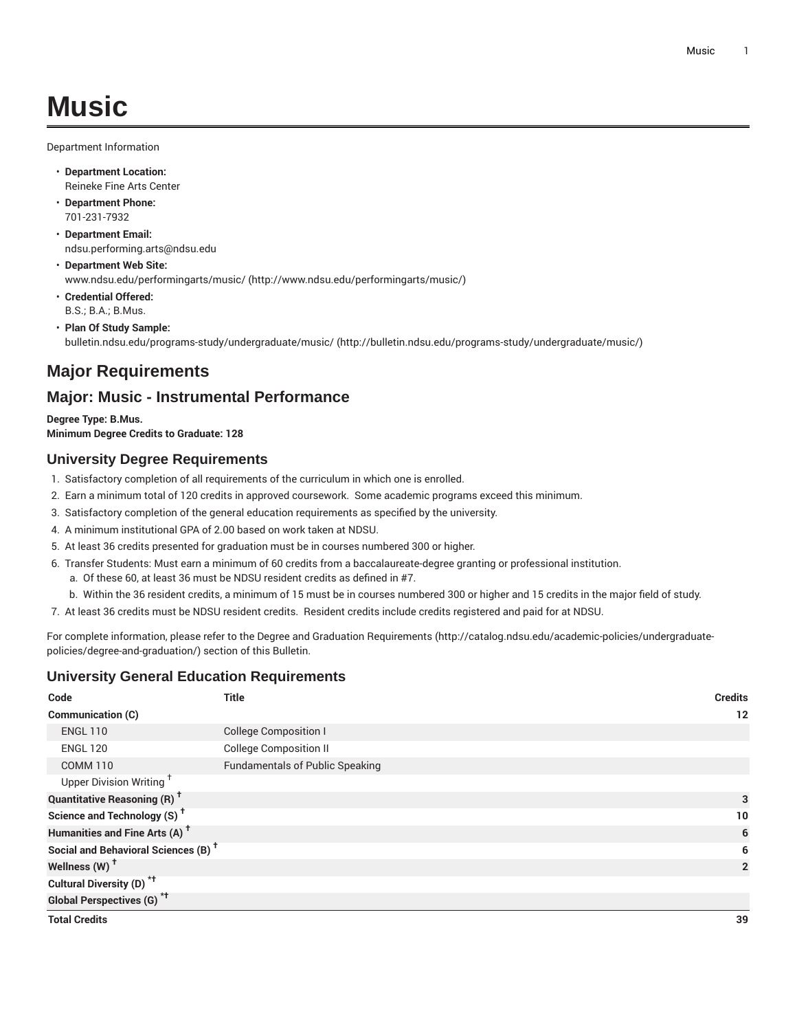Department Information

- **Department Location:** Reineke Fine Arts Center
- **Department Phone:** 701-231-7932
- **Department Email:** [ndsu.performing.arts@ndsu.edu](mailto:ndsu.performing.arts@ndsu.edu)
- **Department Web Site:** [www.ndsu.edu/performingarts/music/ \(http://www.ndsu.edu/performingarts/music/](http://www.ndsu.edu/performingarts/music/))
- **Credential Offered:** B.S.; B.A.; B.Mus.
- **Plan Of Study Sample:** [bulletin.ndsu.edu/programs-study/undergraduate/music/ \(http://bulletin.ndsu.edu/programs-study/undergraduate/music/](http://bulletin.ndsu.edu/programs-study/undergraduate/music/))

# **Major Requirements**

## **Major: Music - Instrumental Performance**

**Degree Type: B.Mus. Minimum Degree Credits to Graduate: 128**

## **University Degree Requirements**

- 1. Satisfactory completion of all requirements of the curriculum in which one is enrolled.
- 2. Earn a minimum total of 120 credits in approved coursework. Some academic programs exceed this minimum.
- 3. Satisfactory completion of the general education requirements as specified by the university.
- 4. A minimum institutional GPA of 2.00 based on work taken at NDSU.
- 5. At least 36 credits presented for graduation must be in courses numbered 300 or higher.
- 6. Transfer Students: Must earn a minimum of 60 credits from a baccalaureate-degree granting or professional institution.
	- a. Of these 60, at least 36 must be NDSU resident credits as defined in #7.
- b. Within the 36 resident credits, a minimum of 15 must be in courses numbered 300 or higher and 15 credits in the major field of study.
- 7. At least 36 credits must be NDSU resident credits. Resident credits include credits registered and paid for at NDSU.

For complete information, please refer to the Degree and Graduation [Requirements](http://catalog.ndsu.edu/academic-policies/undergraduate-policies/degree-and-graduation/) ([http://catalog.ndsu.edu/academic-policies/undergraduate](http://catalog.ndsu.edu/academic-policies/undergraduate-policies/degree-and-graduation/)[policies/degree-and-graduation/\)](http://catalog.ndsu.edu/academic-policies/undergraduate-policies/degree-and-graduation/) section of this Bulletin.

### **University General Education Requirements**

| Code                                            | <b>Title</b>                           | <b>Credits</b> |
|-------------------------------------------------|----------------------------------------|----------------|
| <b>Communication (C)</b>                        |                                        | 12             |
| <b>ENGL 110</b>                                 | <b>College Composition I</b>           |                |
| <b>ENGL 120</b>                                 | <b>College Composition II</b>          |                |
| <b>COMM 110</b>                                 | <b>Fundamentals of Public Speaking</b> |                |
| Upper Division Writing <sup>+</sup>             |                                        |                |
| <b>Quantitative Reasoning (R)<sup>†</sup></b>   |                                        | 3              |
| Science and Technology (S) <sup>+</sup>         |                                        | 10             |
| Humanities and Fine Arts (A) <sup>+</sup>       | 6                                      |                |
| Social and Behavioral Sciences (B) <sup>+</sup> |                                        | 6              |
| Wellness (W) <sup>t</sup>                       |                                        | $\overline{2}$ |
| Cultural Diversity (D) <sup>*†</sup>            |                                        |                |
| <b>Global Perspectives (G)<sup>*†</sup></b>     |                                        |                |
| <b>Total Credits</b>                            |                                        | 39             |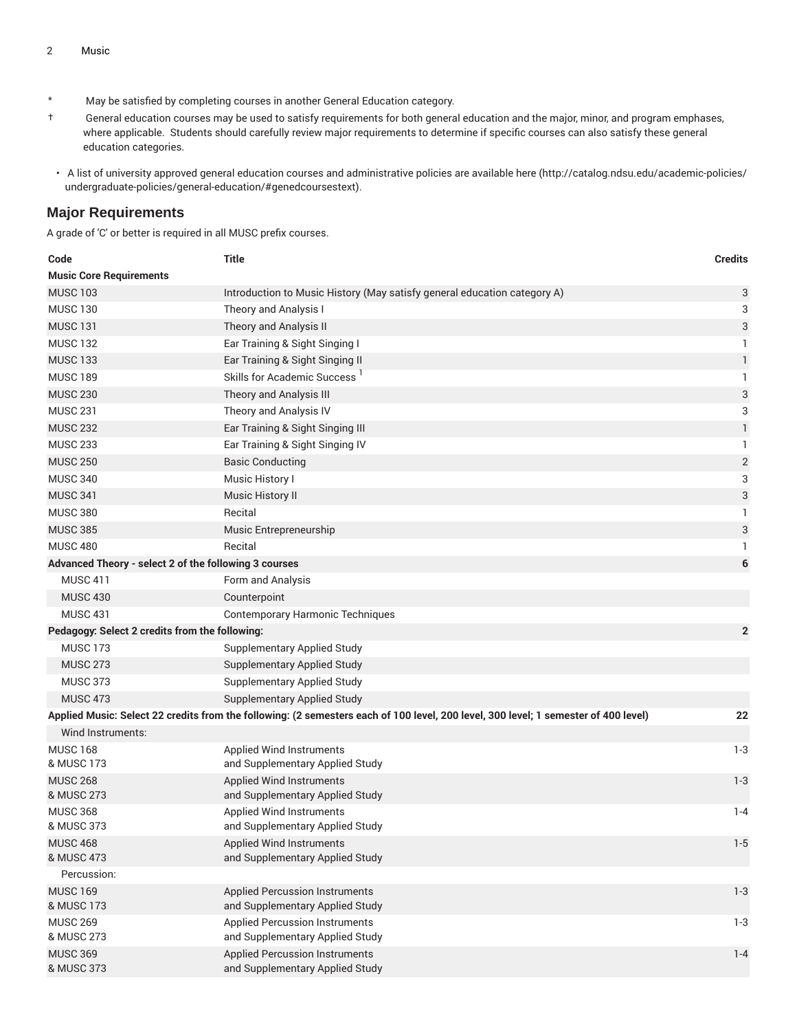- \* May be satisfied by completing courses in another General Education category.
- † General education courses may be used to satisfy requirements for both general education and the major, minor, and program emphases, where applicable. Students should carefully review major requirements to determine if specific courses can also satisfy these general education categories.
- A list of university approved general education courses and administrative policies are available [here](http://catalog.ndsu.edu/academic-policies/undergraduate-policies/general-education/#genedcoursestext) ([http://catalog.ndsu.edu/academic-policies/](http://catalog.ndsu.edu/academic-policies/undergraduate-policies/general-education/#genedcoursestext) [undergraduate-policies/general-education/#genedcoursestext](http://catalog.ndsu.edu/academic-policies/undergraduate-policies/general-education/#genedcoursestext)).

#### **Major Requirements**

A grade of 'C' or better is required in all MUSC prefix courses.

| Code                                                  | <b>Title</b>                                                                                                                        | <b>Credits</b>            |
|-------------------------------------------------------|-------------------------------------------------------------------------------------------------------------------------------------|---------------------------|
| <b>Music Core Requirements</b>                        |                                                                                                                                     |                           |
| <b>MUSC 103</b>                                       | Introduction to Music History (May satisfy general education category A)                                                            | 3                         |
| <b>MUSC 130</b>                                       | Theory and Analysis I                                                                                                               | 3                         |
| <b>MUSC 131</b>                                       | Theory and Analysis II                                                                                                              | $\ensuremath{\mathsf{3}}$ |
| <b>MUSC 132</b>                                       | Ear Training & Sight Singing I                                                                                                      | 1                         |
| <b>MUSC 133</b>                                       | Ear Training & Sight Singing II                                                                                                     | $\mathbf{1}$              |
| <b>MUSC 189</b>                                       | Skills for Academic Success <sup>1</sup>                                                                                            | 1                         |
| <b>MUSC 230</b>                                       | Theory and Analysis III                                                                                                             | $\sqrt{3}$                |
| <b>MUSC 231</b>                                       | Theory and Analysis IV                                                                                                              | 3                         |
| <b>MUSC 232</b>                                       | Ear Training & Sight Singing III                                                                                                    | $\mathbf{1}$              |
| <b>MUSC 233</b>                                       | Ear Training & Sight Singing IV                                                                                                     | 1                         |
| <b>MUSC 250</b>                                       | <b>Basic Conducting</b>                                                                                                             | $\sqrt{2}$                |
| <b>MUSC 340</b>                                       | Music History I                                                                                                                     | 3                         |
| <b>MUSC 341</b>                                       | Music History II                                                                                                                    | 3                         |
| <b>MUSC 380</b>                                       | Recital                                                                                                                             | -1                        |
| <b>MUSC 385</b>                                       | Music Entrepreneurship                                                                                                              | $\ensuremath{\mathsf{3}}$ |
| <b>MUSC 480</b>                                       | Recital                                                                                                                             | 1                         |
| Advanced Theory - select 2 of the following 3 courses |                                                                                                                                     | 6                         |
| <b>MUSC 411</b>                                       | Form and Analysis                                                                                                                   |                           |
| <b>MUSC 430</b>                                       | Counterpoint                                                                                                                        |                           |
| <b>MUSC 431</b>                                       | <b>Contemporary Harmonic Techniques</b>                                                                                             |                           |
| Pedagogy: Select 2 credits from the following:        |                                                                                                                                     | $\overline{2}$            |
| <b>MUSC 173</b>                                       | <b>Supplementary Applied Study</b>                                                                                                  |                           |
| <b>MUSC 273</b>                                       | <b>Supplementary Applied Study</b>                                                                                                  |                           |
| <b>MUSC 373</b>                                       | <b>Supplementary Applied Study</b>                                                                                                  |                           |
| <b>MUSC 473</b>                                       | <b>Supplementary Applied Study</b>                                                                                                  |                           |
|                                                       | Applied Music: Select 22 credits from the following: (2 semesters each of 100 level, 200 level, 300 level; 1 semester of 400 level) | 22                        |
| Wind Instruments:                                     |                                                                                                                                     |                           |
| <b>MUSC 168</b>                                       | Applied Wind Instruments                                                                                                            | $1 - 3$                   |
| & MUSC 173                                            | and Supplementary Applied Study                                                                                                     |                           |
| <b>MUSC 268</b>                                       | <b>Applied Wind Instruments</b>                                                                                                     | $1 - 3$                   |
| & MUSC 273                                            | and Supplementary Applied Study                                                                                                     |                           |
| <b>MUSC 368</b>                                       | <b>Applied Wind Instruments</b>                                                                                                     | $1 - 4$                   |
| & MUSC 373                                            | and Supplementary Applied Study                                                                                                     |                           |
| <b>MUSC 468</b>                                       | <b>Applied Wind Instruments</b>                                                                                                     | $1 - 5$                   |
| & MUSC 473                                            | and Supplementary Applied Study                                                                                                     |                           |
| Percussion:                                           |                                                                                                                                     |                           |
| <b>MUSC 169</b><br>& MUSC 173                         | <b>Applied Percussion Instruments</b><br>and Supplementary Applied Study                                                            | $1 - 3$                   |
| <b>MUSC 269</b>                                       | <b>Applied Percussion Instruments</b>                                                                                               | $1 - 3$                   |
| & MUSC 273                                            | and Supplementary Applied Study                                                                                                     |                           |
| <b>MUSC 369</b>                                       | <b>Applied Percussion Instruments</b>                                                                                               | $1 - 4$                   |
| & MUSC 373                                            | and Supplementary Applied Study                                                                                                     |                           |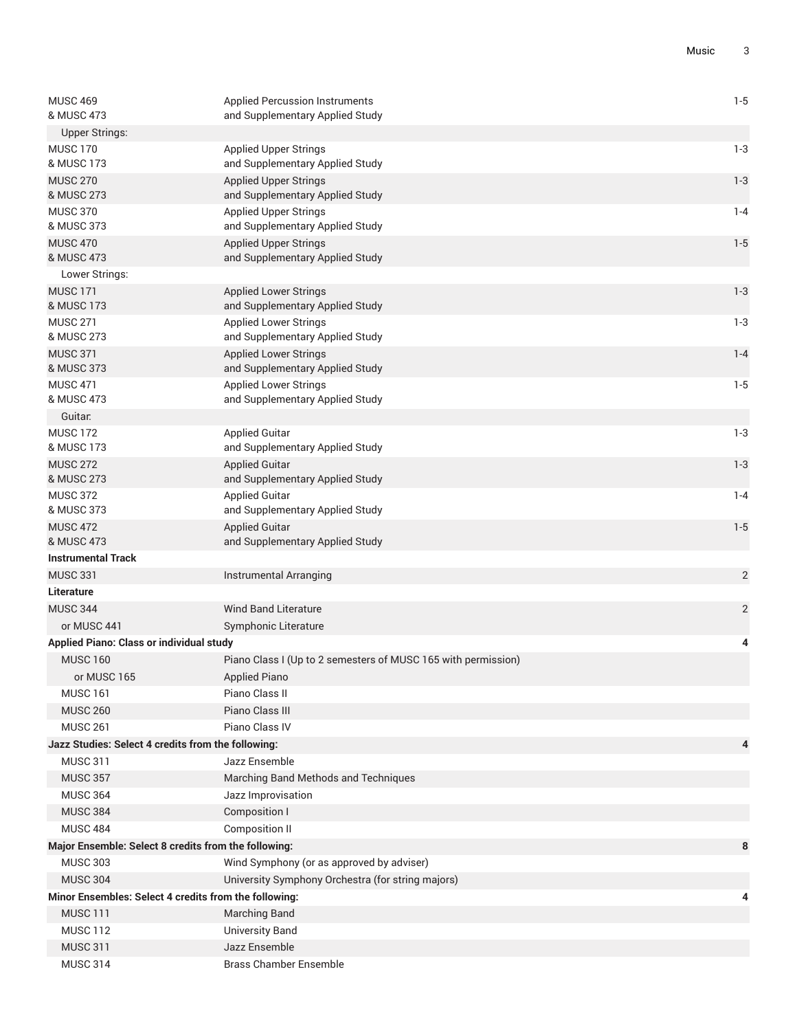| <b>MUSC 469</b><br>& MUSC 473                                      | <b>Applied Percussion Instruments</b><br>and Supplementary Applied Study | $1 - 5$        |
|--------------------------------------------------------------------|--------------------------------------------------------------------------|----------------|
| <b>Upper Strings:</b>                                              |                                                                          |                |
| <b>MUSC 170</b><br>& MUSC 173                                      | <b>Applied Upper Strings</b><br>and Supplementary Applied Study          | $1 - 3$        |
| <b>MUSC 270</b><br>& MUSC 273                                      | <b>Applied Upper Strings</b><br>and Supplementary Applied Study          | $1 - 3$        |
| <b>MUSC 370</b><br>& MUSC 373                                      | <b>Applied Upper Strings</b><br>and Supplementary Applied Study          | $1 - 4$        |
| <b>MUSC 470</b><br>& MUSC 473                                      | <b>Applied Upper Strings</b><br>and Supplementary Applied Study          | $1 - 5$        |
| Lower Strings:                                                     |                                                                          |                |
| <b>MUSC 171</b><br>& MUSC 173                                      | <b>Applied Lower Strings</b><br>and Supplementary Applied Study          | $1 - 3$        |
| <b>MUSC 271</b><br>& MUSC 273                                      | <b>Applied Lower Strings</b><br>and Supplementary Applied Study          | $1-3$          |
| <b>MUSC 371</b><br>& MUSC 373                                      | <b>Applied Lower Strings</b><br>and Supplementary Applied Study          | $1 - 4$        |
| <b>MUSC 471</b><br>& MUSC 473                                      | <b>Applied Lower Strings</b><br>and Supplementary Applied Study          | $1 - 5$        |
| Guitar:                                                            |                                                                          |                |
| <b>MUSC 172</b><br>& MUSC 173                                      | <b>Applied Guitar</b><br>and Supplementary Applied Study                 | $1 - 3$        |
| <b>MUSC 272</b><br>& MUSC 273                                      | <b>Applied Guitar</b><br>and Supplementary Applied Study                 | $1 - 3$        |
| <b>MUSC 372</b><br>& MUSC 373                                      | <b>Applied Guitar</b><br>and Supplementary Applied Study                 | $1 - 4$        |
| <b>MUSC 472</b>                                                    | <b>Applied Guitar</b>                                                    | $1 - 5$        |
| & MUSC 473                                                         | and Supplementary Applied Study                                          |                |
| <b>Instrumental Track</b>                                          |                                                                          |                |
| <b>MUSC 331</b>                                                    | Instrumental Arranging                                                   | $\overline{2}$ |
| <b>Literature</b>                                                  |                                                                          |                |
| <b>MUSC 344</b>                                                    | <b>Wind Band Literature</b>                                              | $\overline{2}$ |
| or MUSC 441                                                        | Symphonic Literature                                                     |                |
| <b>Applied Piano: Class or individual study</b><br><b>MUSC 160</b> | Piano Class I (Up to 2 semesters of MUSC 165 with permission)            | 4              |
| or MUSC 165                                                        | <b>Applied Piano</b>                                                     |                |
| <b>MUSC 161</b>                                                    | Piano Class II                                                           |                |
| <b>MUSC 260</b>                                                    | Piano Class III                                                          |                |
| <b>MUSC 261</b>                                                    | Piano Class IV                                                           |                |
| Jazz Studies: Select 4 credits from the following:                 |                                                                          | 4              |
| <b>MUSC 311</b>                                                    | Jazz Ensemble                                                            |                |
| <b>MUSC 357</b>                                                    | Marching Band Methods and Techniques                                     |                |
| <b>MUSC 364</b>                                                    | Jazz Improvisation                                                       |                |
| <b>MUSC 384</b>                                                    | Composition I                                                            |                |
| <b>MUSC 484</b>                                                    | Composition II                                                           |                |
| Major Ensemble: Select 8 credits from the following:               |                                                                          | 8              |
| <b>MUSC 303</b>                                                    | Wind Symphony (or as approved by adviser)                                |                |
| <b>MUSC 304</b>                                                    | University Symphony Orchestra (for string majors)                        |                |
| Minor Ensembles: Select 4 credits from the following:              |                                                                          | 4              |
| <b>MUSC 111</b>                                                    | Marching Band                                                            |                |
| <b>MUSC 112</b>                                                    | <b>University Band</b>                                                   |                |
| <b>MUSC 311</b>                                                    | Jazz Ensemble                                                            |                |
| <b>MUSC 314</b>                                                    | <b>Brass Chamber Ensemble</b>                                            |                |